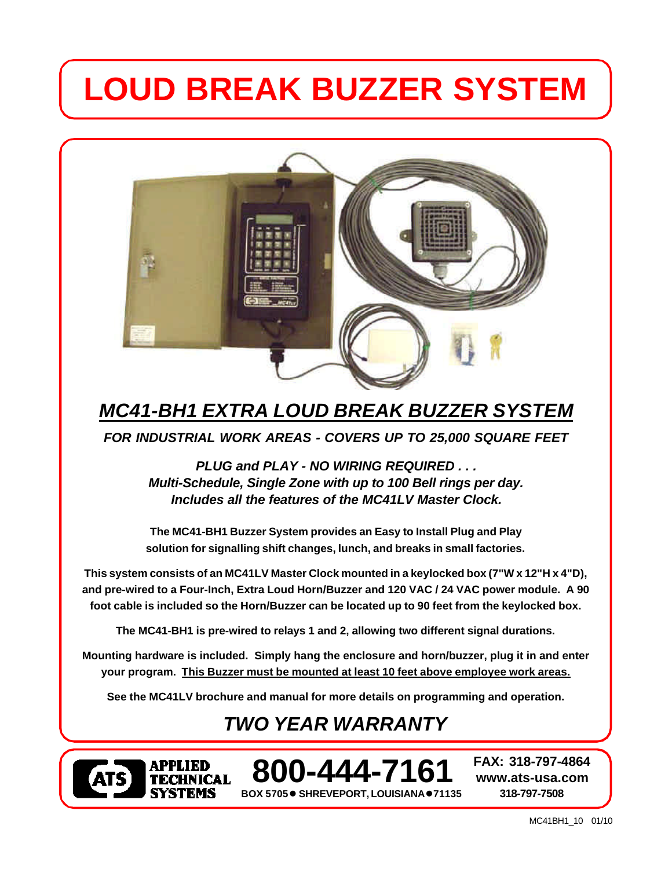# **LOUD BREAK BUZZER SYSTEM**



# *MC41-BH1 EXTRA LOUD BREAK BUZZER SYSTEM*

*FOR INDUSTRIAL WORK AREAS - COVERS UP TO 25,000 SQUARE FEET*

*PLUG and PLAY - NO WIRING REQUIRED . . . Multi-Schedule, Single Zone with up to 100 Bell rings per day. Includes all the features of the MC41LV Master Clock.*

**The MC41-BH1 Buzzer System provides an Easy to Install Plug and Play solution for signalling shift changes, lunch, and breaks in small factories.**

**This system consists of an MC41LV Master Clock mounted in a keylocked box (7"W x 12"H x 4"D), and pre-wired to a Four-Inch, Extra Loud Horn/Buzzer and 120 VAC / 24 VAC power module. A 90 foot cable is included so the Horn/Buzzer can be located up to 90 feet from the keylocked box.**

**The MC41-BH1 is pre-wired to relays 1 and 2, allowing two different signal durations.**

**Mounting hardware is included. Simply hang the enclosure and horn/buzzer, plug it in and enter your program. This Buzzer must be mounted at least 10 feet above employee work areas.**

**See the MC41LV brochure and manual for more details on programming and operation.**

# *TWO YEAR WARRANTY*



**BOX 5705● SHREVEPORT, LOUISIANA●71135 800-444-7161 FAX: 318-797-4864**

**www.ats-usa.com 318-797-7508**